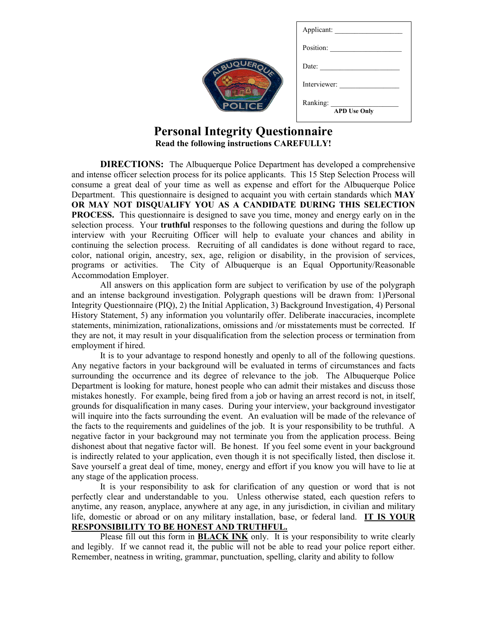|           | Applicant:                      |
|-----------|---------------------------------|
|           | Position:                       |
| ALBUQUE   | Date:                           |
|           | Interviewer:                    |
| <b>JE</b> | Ranking:<br><b>APD Use Only</b> |
|           |                                 |

# **Personal Integrity Questionnaire Read the following instructions CAREFULLY!**

**DIRECTIONS:** The Albuquerque Police Department has developed a comprehensive and intense officer selection process for its police applicants. This 15 Step Selection Process will consume a great deal of your time as well as expense and effort for the Albuquerque Police Department. This questionnaire is designed to acquaint you with certain standards which **MAY OR MAY NOT DISQUALIFY YOU AS A CANDIDATE DURING THIS SELECTION PROCESS.** This questionnaire is designed to save you time, money and energy early on in the selection process. Your **truthful** responses to the following questions and during the follow up interview with your Recruiting Officer will help to evaluate your chances and ability in continuing the selection process. Recruiting of all candidates is done without regard to race, color, national origin, ancestry, sex, age, religion or disability, in the provision of services, programs or activities. The City of Albuquerque is an Equal Opportunity/Reasonable Accommodation Employer.

 All answers on this application form are subject to verification by use of the polygraph and an intense background investigation. Polygraph questions will be drawn from: 1)Personal Integrity Questionnaire (PIQ), 2) the Initial Application, 3) Background Investigation, 4) Personal History Statement, 5) any information you voluntarily offer. Deliberate inaccuracies, incomplete statements, minimization, rationalizations, omissions and /or misstatements must be corrected. If they are not, it may result in your disqualification from the selection process or termination from employment if hired.

It is to your advantage to respond honestly and openly to all of the following questions. Any negative factors in your background will be evaluated in terms of circumstances and facts surrounding the occurrence and its degree of relevance to the job. The Albuquerque Police Department is looking for mature, honest people who can admit their mistakes and discuss those mistakes honestly. For example, being fired from a job or having an arrest record is not, in itself, grounds for disqualification in many cases. During your interview, your background investigator will inquire into the facts surrounding the event. An evaluation will be made of the relevance of the facts to the requirements and guidelines of the job. It is your responsibility to be truthful. A negative factor in your background may not terminate you from the application process. Being dishonest about that negative factor will. Be honest. If you feel some event in your background is indirectly related to your application, even though it is not specifically listed, then disclose it. Save yourself a great deal of time, money, energy and effort if you know you will have to lie at any stage of the application process.

It is your responsibility to ask for clarification of any question or word that is not perfectly clear and understandable to you. Unless otherwise stated, each question refers to anytime, any reason, anyplace, anywhere at any age, in any jurisdiction, in civilian and military life, domestic or abroad or on any military installation, base, or federal land. **IT IS YOUR RESPONSIBILITY TO BE HONEST AND TRUTHFUL.**

Please fill out this form in **BLACK INK** only. It is your responsibility to write clearly and legibly. If we cannot read it, the public will not be able to read your police report either. Remember, neatness in writing, grammar, punctuation, spelling, clarity and ability to follow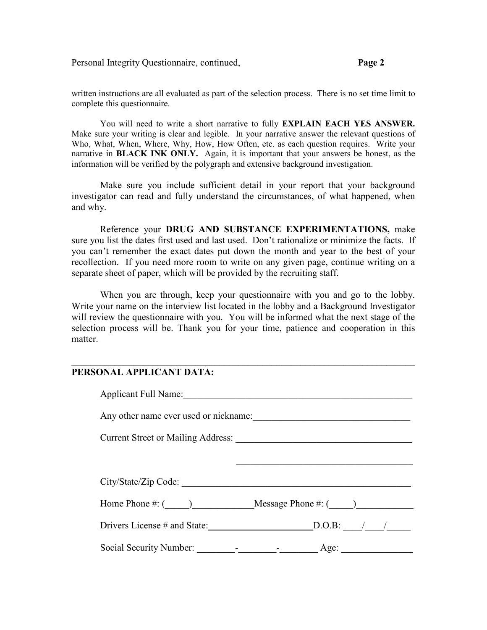written instructions are all evaluated as part of the selection process. There is no set time limit to complete this questionnaire.

You will need to write a short narrative to fully **EXPLAIN EACH YES ANSWER.**  Make sure your writing is clear and legible. In your narrative answer the relevant questions of Who, What, When, Where, Why, How, How Often, etc. as each question requires. Write your narrative in **BLACK INK ONLY.** Again, it is important that your answers be honest, as the information will be verified by the polygraph and extensive background investigation.

 Make sure you include sufficient detail in your report that your background investigator can read and fully understand the circumstances, of what happened, when and why.

 Reference your **DRUG AND SUBSTANCE EXPERIMENTATIONS,** make sure you list the dates first used and last used. Don't rationalize or minimize the facts. If you can't remember the exact dates put down the month and year to the best of your recollection. If you need more room to write on any given page, continue writing on a separate sheet of paper, which will be provided by the recruiting staff.

 When you are through, keep your questionnaire with you and go to the lobby. Write your name on the interview list located in the lobby and a Background Investigator will review the questionnaire with you. You will be informed what the next stage of the selection process will be. Thank you for your time, patience and cooperation in this matter.

**\_\_\_\_\_\_\_\_\_\_\_\_\_\_\_\_\_\_\_\_\_\_\_\_\_\_\_\_\_\_\_\_\_\_\_\_\_\_\_\_\_\_\_\_\_\_\_\_\_\_\_\_\_\_\_\_\_\_\_\_\_\_\_\_\_\_\_\_\_\_\_\_** 

#### **PERSONAL APPLICANT DATA:**

| Applicant Full Name:                      |                                                |
|-------------------------------------------|------------------------------------------------|
| Any other name ever used or nickname:     |                                                |
| <b>Current Street or Mailing Address:</b> |                                                |
|                                           |                                                |
| City/State/Zip Code:                      |                                                |
|                                           | Home Phone $\#$ : ( ) Message Phone $\#$ : ( ) |
| Drivers License # and State:              | $D.O.B:$ / /                                   |
| Social Security Number:                   | Age:                                           |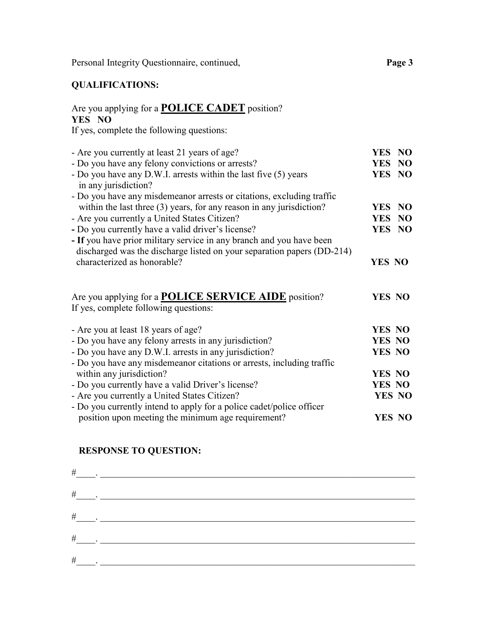# **QUALIFICATIONS:**

# Are you applying for a **POLICE CADET** position? **YES NO**

If yes, complete the following questions:

| - Are you currently at least 21 years of age?                                                                                                  | YES NO        |  |
|------------------------------------------------------------------------------------------------------------------------------------------------|---------------|--|
| - Do you have any felony convictions or arrests?                                                                                               | YES NO        |  |
| - Do you have any D.W.I. arrests within the last five (5) years<br>in any jurisdiction?                                                        | YES NO        |  |
| - Do you have any misdemeanor arrests or citations, excluding traffic                                                                          |               |  |
| within the last three (3) years, for any reason in any jurisdiction?                                                                           | YES NO        |  |
| - Are you currently a United States Citizen?                                                                                                   | YES NO        |  |
| - Do you currently have a valid driver's license?                                                                                              | YES NO        |  |
| - If you have prior military service in any branch and you have been<br>discharged was the discharge listed on your separation papers (DD-214) |               |  |
| characterized as honorable?                                                                                                                    | YES NO        |  |
| Are you applying for a <b>POLICE SERVICE AIDE</b> position?<br>If yes, complete following questions:                                           | <b>YES NO</b> |  |
| - Are you at least 18 years of age?                                                                                                            | <b>YES NO</b> |  |
| - Do you have any felony arrests in any jurisdiction?                                                                                          | YES NO        |  |
| - Do you have any D.W.I. arrests in any jurisdiction?                                                                                          | YES NO        |  |
| - Do you have any misdemeanor citations or arrests, including traffic                                                                          |               |  |
| within any jurisdiction?                                                                                                                       | YES NO        |  |
| - Do you currently have a valid Driver's license?                                                                                              | <b>YES NO</b> |  |
| - Are you currently a United States Citizen?                                                                                                   | YES NO        |  |
| - Do you currently intend to apply for a police cadet/police officer                                                                           |               |  |
| position upon meeting the minimum age requirement?                                                                                             | YES NO        |  |

# **RESPONSE TO QUESTION:**

| $\#$ | $\mathcal{L}^{\text{max}}$ , where $\mathcal{L}^{\text{max}}$                                                                                                                                                                                                                                                                                                                               |
|------|---------------------------------------------------------------------------------------------------------------------------------------------------------------------------------------------------------------------------------------------------------------------------------------------------------------------------------------------------------------------------------------------|
|      | $\begin{picture}(150,10) \put(0,0){\dashbox{0.5}(10,0){ }} \put(15,0){\circle{10}} \put(15,0){\circle{10}} \put(15,0){\circle{10}} \put(15,0){\circle{10}} \put(15,0){\circle{10}} \put(15,0){\circle{10}} \put(15,0){\circle{10}} \put(15,0){\circle{10}} \put(15,0){\circle{10}} \put(15,0){\circle{10}} \put(15,0){\circle{10}} \put(15,0){\circle{10}} \put(15,0){\circle{10}} \put(15$ |
|      | $\begin{picture}(20,10) \put(0,0){\dashbox{0.5}(10,0){ }} \put(15,0){\circle{10}} \put(15,0){\circle{10}} \put(15,0){\circle{10}} \put(15,0){\circle{10}} \put(15,0){\circle{10}} \put(15,0){\circle{10}} \put(15,0){\circle{10}} \put(15,0){\circle{10}} \put(15,0){\circle{10}} \put(15,0){\circle{10}} \put(15,0){\circle{10}} \put(15,0){\circle{10}} \put(15,0){\circle{10}} \put(15,$ |
|      | $\#$ . The contract of the contract of the contract of the contract of the contract of the contract of the contract of the contract of the contract of the contract of the contract of the contract of the contract of the co                                                                                                                                                               |
| $\#$ |                                                                                                                                                                                                                                                                                                                                                                                             |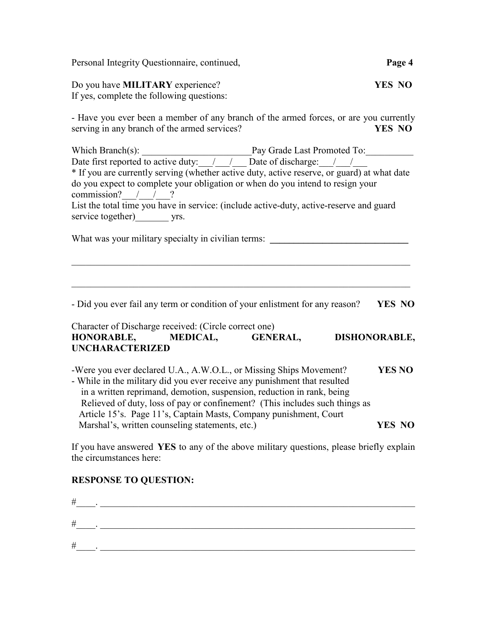| Page 4                                                                                                                                                                                 |
|----------------------------------------------------------------------------------------------------------------------------------------------------------------------------------------|
| <b>YES NO</b>                                                                                                                                                                          |
| - Have you ever been a member of any branch of the armed forces, or are you currently<br><b>YES NO</b>                                                                                 |
| * If you are currently serving (whether active duty, active reserve, or guard) at what date<br>List the total time you have in service: (include active-duty, active-reserve and guard |
| YES NO                                                                                                                                                                                 |
| DISHONORABLE,                                                                                                                                                                          |
| <b>YES NO</b><br><b>YES NO</b>                                                                                                                                                         |
|                                                                                                                                                                                        |

If you have answered **YES** to any of the above military questions, please briefly explain

# **RESPONSE TO QUESTION:**

the circumstances here:

| # |  |
|---|--|
| # |  |
| # |  |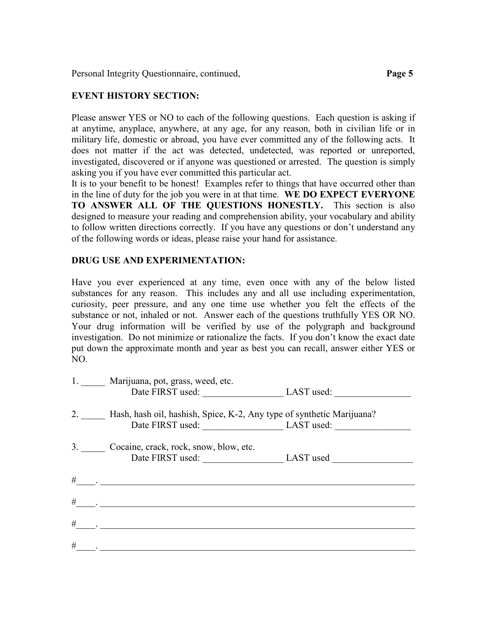#### **EVENT HISTORY SECTION:**

Please answer YES or NO to each of the following questions. Each question is asking if at anytime, anyplace, anywhere, at any age, for any reason, both in civilian life or in military life, domestic or abroad, you have ever committed any of the following acts. It does not matter if the act was detected, undetected, was reported or unreported, investigated, discovered or if anyone was questioned or arrested. The question is simply asking you if you have ever committed this particular act.

It is to your benefit to be honest! Examples refer to things that have occurred other than in the line of duty for the job you were in at that time. **WE DO EXPECT EVERYONE TO ANSWER ALL OF THE QUESTIONS HONESTLY.** This section is also designed to measure your reading and comprehension ability, your vocabulary and ability to follow written directions correctly. If you have any questions or don't understand any of the following words or ideas, please raise your hand for assistance.

#### **DRUG USE AND EXPERIMENTATION:**

Have you ever experienced at any time, even once with any of the below listed substances for any reason. This includes any and all use including experimentation, curiosity, peer pressure, and any one time use whether you felt the effects of the substance or not, inhaled or not. Answer each of the questions truthfully YES OR NO. Your drug information will be verified by use of the polygraph and background investigation. Do not minimize or rationalize the facts. If you don't know the exact date put down the approximate month and year as best you can recall, answer either YES or NO.

|   | 1. Marijuana, pot, grass, weed, etc.<br>Date FIRST used: LAST used:                                     |  |
|---|---------------------------------------------------------------------------------------------------------|--|
|   | 2. Hash, hash oil, hashish, Spice, K-2, Any type of synthetic Marijuana?<br>Date FIRST used: LAST used: |  |
|   | 3. Cocaine, crack, rock, snow, blow, etc.<br>Date FIRST used: LAST used LAST used                       |  |
|   |                                                                                                         |  |
|   | $\#$ . <u>________________________</u>                                                                  |  |
| # |                                                                                                         |  |
| # |                                                                                                         |  |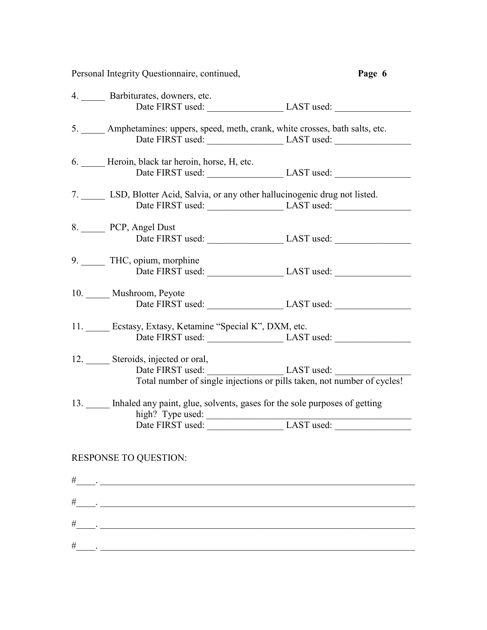|      | Personal Integrity Questionnaire, continued,                                                                          | Page 6                                                                                      |
|------|-----------------------------------------------------------------------------------------------------------------------|---------------------------------------------------------------------------------------------|
|      | 4. Barbiturates, downers, etc.                                                                                        |                                                                                             |
|      |                                                                                                                       | Date FIRST used: LAST used: LAST used:                                                      |
|      | 5. _____ Amphetamines: uppers, speed, meth, crank, white crosses, bath salts, etc.                                    | Date FIRST used: LAST used:                                                                 |
|      | 6. Heroin, black tar heroin, horse, H, etc.                                                                           | Date FIRST used: LAST used:                                                                 |
|      | 7. LSD, Blotter Acid, Salvia, or any other hallucinogenic drug not listed.                                            |                                                                                             |
|      | 8. PCP, Angel Dust                                                                                                    | Date FIRST used: LAST used:                                                                 |
|      | 9. THC, opium, morphine                                                                                               | Date FIRST used: LAST used:                                                                 |
|      | 10. Mushroom, Peyote                                                                                                  | Date FIRST used: LAST used:                                                                 |
|      | 11. Ecstasy, Extasy, Ketamine "Special K", DXM, etc.                                                                  | Date FIRST used: LAST used:                                                                 |
|      | 12. Steroids, injected or oral,                                                                                       | Date FIRST used:<br>Total number of single injections or pills taken, not number of cycles! |
|      | 13. Inhaled any paint, glue, solvents, gases for the sole purposes of getting                                         |                                                                                             |
|      | Date FIRST used: LAST used:<br><b>RESPONSE TO QUESTION:</b>                                                           |                                                                                             |
|      |                                                                                                                       |                                                                                             |
|      |                                                                                                                       |                                                                                             |
| $\#$ | <u> 1988 - Andrea Barbara, amerikana amerikana amerikana amerikana amerikana amerikana amerikana amerikana amerik</u> |                                                                                             |
|      |                                                                                                                       |                                                                                             |
|      |                                                                                                                       |                                                                                             |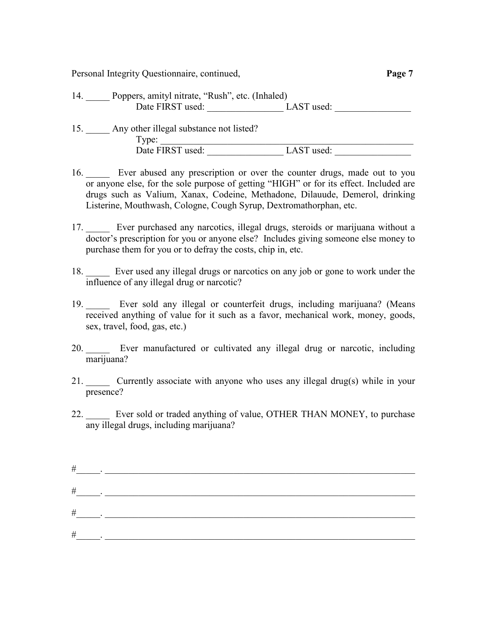| 14. | Poppers, amityl nitrate, "Rush", etc. (Inhaled) |            |  |
|-----|-------------------------------------------------|------------|--|
|     | Date FIRST used:                                | LAST used: |  |

| Any other illegal substance not listed? |            |
|-----------------------------------------|------------|
| l ype:                                  |            |
| Date FIRST used:                        | LAST used: |

- 16. Ever abused any prescription or over the counter drugs, made out to you or anyone else, for the sole purpose of getting "HIGH" or for its effect. Included are drugs such as Valium, Xanax, Codeine, Methadone, Dilauude, Demerol, drinking Listerine, Mouthwash, Cologne, Cough Syrup, Dextromathorphan, etc.
- 17. \_\_\_\_\_ Ever purchased any narcotics, illegal drugs, steroids or marijuana without a doctor's prescription for you or anyone else? Includes giving someone else money to purchase them for you or to defray the costs, chip in, etc.
- 18. \_\_\_\_\_ Ever used any illegal drugs or narcotics on any job or gone to work under the influence of any illegal drug or narcotic?
- 19. Ever sold any illegal or counterfeit drugs, including marijuana? (Means received anything of value for it such as a favor, mechanical work, money, goods, sex, travel, food, gas, etc.)
- 20. \_\_\_\_\_ Ever manufactured or cultivated any illegal drug or narcotic, including marijuana?
- 21. \_\_\_\_\_ Currently associate with anyone who uses any illegal drug(s) while in your presence?
- 22. \_\_\_\_\_ Ever sold or traded anything of value, OTHER THAN MONEY, to purchase any illegal drugs, including marijuana?

| $\#$                             |  |
|----------------------------------|--|
| $\#$<br><b>Contract Contract</b> |  |
|                                  |  |
| $\#$                             |  |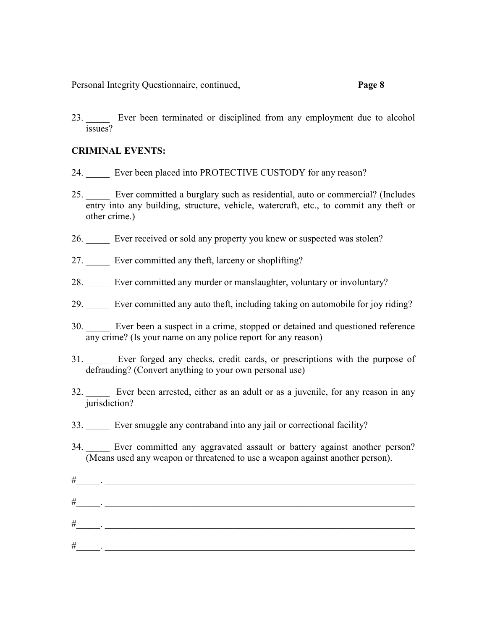23. Ever been terminated or disciplined from any employment due to alcohol issues?

#### **CRIMINAL EVENTS:**

- 24. Ever been placed into PROTECTIVE CUSTODY for any reason?
- 25. \_\_\_\_\_ Ever committed a burglary such as residential, auto or commercial? (Includes entry into any building, structure, vehicle, watercraft, etc., to commit any theft or other crime.)
- 26. \_\_\_\_\_ Ever received or sold any property you knew or suspected was stolen?
- 27. Ever committed any theft, larceny or shoplifting?
- 28. \_\_\_\_\_ Ever committed any murder or manslaughter, voluntary or involuntary?
- 29. \_\_\_\_\_ Ever committed any auto theft, including taking on automobile for joy riding?
- 30. \_\_\_\_\_ Ever been a suspect in a crime, stopped or detained and questioned reference any crime? (Is your name on any police report for any reason)
- 31. \_\_\_\_\_ Ever forged any checks, credit cards, or prescriptions with the purpose of defrauding? (Convert anything to your own personal use)
- 32. \_\_\_\_\_ Ever been arrested, either as an adult or as a juvenile, for any reason in any jurisdiction?
- 33. \_\_\_\_\_ Ever smuggle any contraband into any jail or correctional facility?
- 34. \_\_\_\_\_ Ever committed any aggravated assault or battery against another person? (Means used any weapon or threatened to use a weapon against another person).
- #\_\_\_\_\_. \_\_\_\_\_\_\_\_\_\_\_\_\_\_\_\_\_\_\_\_\_\_\_\_\_\_\_\_\_\_\_\_\_\_\_\_\_\_\_\_\_\_\_\_\_\_\_\_\_\_\_\_\_\_\_\_\_\_\_\_\_\_\_\_\_  $\#$  . The contract of the contract of the contract of the contract of the contract of the contract of the contract of the contract of the contract of the contract of the contract of the contract of the contract of the co #\_\_\_\_\_. \_\_\_\_\_\_\_\_\_\_\_\_\_\_\_\_\_\_\_\_\_\_\_\_\_\_\_\_\_\_\_\_\_\_\_\_\_\_\_\_\_\_\_\_\_\_\_\_\_\_\_\_\_\_\_\_\_\_\_\_\_\_\_\_\_ #\_\_\_\_\_. \_\_\_\_\_\_\_\_\_\_\_\_\_\_\_\_\_\_\_\_\_\_\_\_\_\_\_\_\_\_\_\_\_\_\_\_\_\_\_\_\_\_\_\_\_\_\_\_\_\_\_\_\_\_\_\_\_\_\_\_\_\_\_\_\_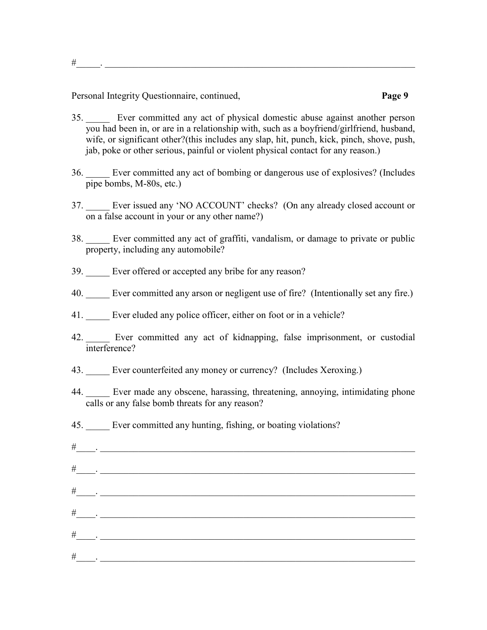#\_\_\_\_\_. \_\_\_\_\_\_\_\_\_\_\_\_\_\_\_\_\_\_\_\_\_\_\_\_\_\_\_\_\_\_\_\_\_\_\_\_\_\_\_\_\_\_\_\_\_\_\_\_\_\_\_\_\_\_\_\_\_\_\_\_\_\_\_\_\_

- 35. \_\_\_\_\_ Ever committed any act of physical domestic abuse against another person you had been in, or are in a relationship with, such as a boyfriend/girlfriend, husband, wife, or significant other?(this includes any slap, hit, punch, kick, pinch, shove, push, jab, poke or other serious, painful or violent physical contact for any reason.)
- 36. \_\_\_\_\_ Ever committed any act of bombing or dangerous use of explosives? (Includes pipe bombs, M-80s, etc.)
- 37. \_\_\_\_\_ Ever issued any 'NO ACCOUNT' checks? (On any already closed account or on a false account in your or any other name?)
- 38. \_\_\_\_\_ Ever committed any act of graffiti, vandalism, or damage to private or public property, including any automobile?
- 39. Ever offered or accepted any bribe for any reason?
- 40. Ever committed any arson or negligent use of fire? (Intentionally set any fire.)
- 41. Ever eluded any police officer, either on foot or in a vehicle?
- 42. Ever committed any act of kidnapping, false imprisonment, or custodial interference?
- 43. Ever counterfeited any money or currency? (Includes Xeroxing.)
- 44. \_\_\_\_\_ Ever made any obscene, harassing, threatening, annoying, intimidating phone calls or any false bomb threats for any reason?
- 45. Ever committed any hunting, fishing, or boating violations?
- #  $\quad \, .$  $\#_{\square_{\mathbb{Z}}\cup_{\mathbb{Z}}\cup_{\mathbb{Z}}\square_{\mathbb{Z}}\cup\mathbb{Z}}$  , where  $\bot$ #\_\_\_\_. \_\_\_\_\_\_\_\_\_\_\_\_\_\_\_\_\_\_\_\_\_\_\_\_\_\_\_\_\_\_\_\_\_\_\_\_\_\_\_\_\_\_\_\_\_\_\_\_\_\_\_\_\_\_\_\_\_\_\_\_\_\_\_\_\_\_ #\_\_\_\_. \_\_\_\_\_\_\_\_\_\_\_\_\_\_\_\_\_\_\_\_\_\_\_\_\_\_\_\_\_\_\_\_\_\_\_\_\_\_\_\_\_\_\_\_\_\_\_\_\_\_\_\_\_\_\_\_\_\_\_\_\_\_\_\_\_\_ #\_\_\_\_. \_\_\_\_\_\_\_\_\_\_\_\_\_\_\_\_\_\_\_\_\_\_\_\_\_\_\_\_\_\_\_\_\_\_\_\_\_\_\_\_\_\_\_\_\_\_\_\_\_\_\_\_\_\_\_\_\_\_\_\_\_\_\_\_\_\_ #\_\_\_\_. \_\_\_\_\_\_\_\_\_\_\_\_\_\_\_\_\_\_\_\_\_\_\_\_\_\_\_\_\_\_\_\_\_\_\_\_\_\_\_\_\_\_\_\_\_\_\_\_\_\_\_\_\_\_\_\_\_\_\_\_\_\_\_\_\_\_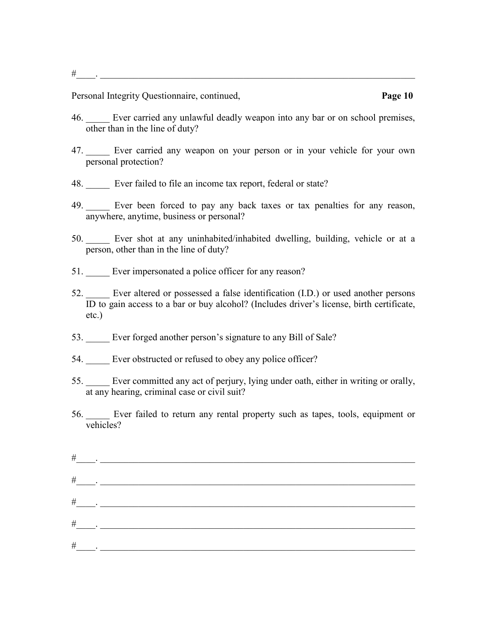#\_\_\_\_. \_\_\_\_\_\_\_\_\_\_\_\_\_\_\_\_\_\_\_\_\_\_\_\_\_\_\_\_\_\_\_\_\_\_\_\_\_\_\_\_\_\_\_\_\_\_\_\_\_\_\_\_\_\_\_\_\_\_\_\_\_\_\_\_\_\_

- 46. \_\_\_\_\_ Ever carried any unlawful deadly weapon into any bar or on school premises, other than in the line of duty?
- 47. Ever carried any weapon on your person or in your vehicle for your own personal protection?
- 48. Ever failed to file an income tax report, federal or state?
- 49. \_\_\_\_\_ Ever been forced to pay any back taxes or tax penalties for any reason, anywhere, anytime, business or personal?
- 50. \_\_\_\_\_ Ever shot at any uninhabited/inhabited dwelling, building, vehicle or at a person, other than in the line of duty?
- 51. Ever impersonated a police officer for any reason?
- 52. \_\_\_\_\_ Ever altered or possessed a false identification (I.D.) or used another persons ID to gain access to a bar or buy alcohol? (Includes driver's license, birth certificate, etc.)
- 53. Ever forged another person's signature to any Bill of Sale?
- 54. Ever obstructed or refused to obey any police officer?
- 55. \_\_\_\_\_ Ever committed any act of perjury, lying under oath, either in writing or orally, at any hearing, criminal case or civil suit?
- 56. \_\_\_\_\_ Ever failed to return any rental property such as tapes, tools, equipment or vehicles?

| $\#$                   |  |
|------------------------|--|
| $\#$                   |  |
| $\#$                   |  |
| $\#$<br>$\mathbb{R}^2$ |  |
| $\#$                   |  |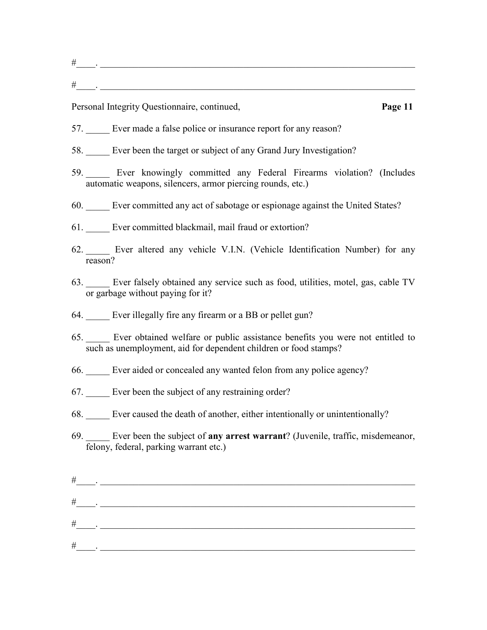- 57. Ever made a false police or insurance report for any reason?
- 58. \_\_\_\_\_ Ever been the target or subject of any Grand Jury Investigation?
- 59. \_\_\_\_\_ Ever knowingly committed any Federal Firearms violation? (Includes automatic weapons, silencers, armor piercing rounds, etc.)
- 60. \_\_\_\_\_ Ever committed any act of sabotage or espionage against the United States?
- 61. Ever committed blackmail, mail fraud or extortion?
- 62. \_\_\_\_\_ Ever altered any vehicle V.I.N. (Vehicle Identification Number) for any reason?
- 63. \_\_\_\_\_ Ever falsely obtained any service such as food, utilities, motel, gas, cable TV or garbage without paying for it?
- 64. Ever illegally fire any firearm or a BB or pellet gun?
- 65. \_\_\_\_\_ Ever obtained welfare or public assistance benefits you were not entitled to such as unemployment, aid for dependent children or food stamps?
- 66. \_\_\_\_\_ Ever aided or concealed any wanted felon from any police agency?
- 67. Ever been the subject of any restraining order?
- 68. \_\_\_\_\_ Ever caused the death of another, either intentionally or unintentionally?
- 69. \_\_\_\_\_ Ever been the subject of **any arrest warrant**? (Juvenile, traffic, misdemeanor, felony, federal, parking warrant etc.)

| #    | and the company of                                                                                                                                                                                                            |
|------|-------------------------------------------------------------------------------------------------------------------------------------------------------------------------------------------------------------------------------|
|      |                                                                                                                                                                                                                               |
|      | $\#$ . The set of the set of the set of the set of the set of the set of the set of the set of the set of the set of the set of the set of the set of the set of the set of the set of the set of the set of the set of the s |
| $\#$ |                                                                                                                                                                                                                               |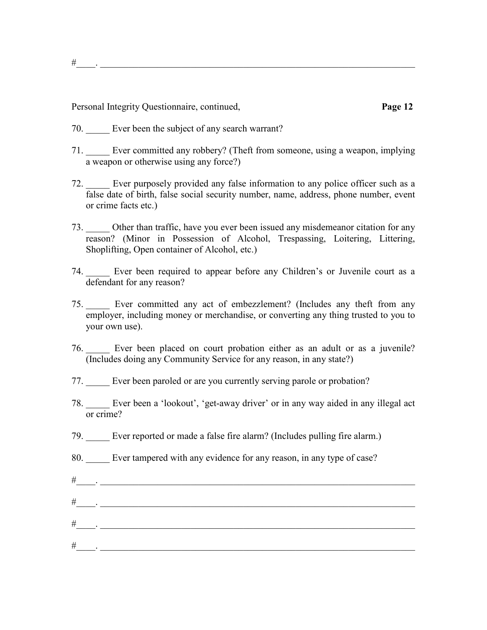#\_\_\_\_. \_\_\_\_\_\_\_\_\_\_\_\_\_\_\_\_\_\_\_\_\_\_\_\_\_\_\_\_\_\_\_\_\_\_\_\_\_\_\_\_\_\_\_\_\_\_\_\_\_\_\_\_\_\_\_\_\_\_\_\_\_\_\_\_\_\_

- 70. Ever been the subject of any search warrant?
- 71. \_\_\_\_\_ Ever committed any robbery? (Theft from someone, using a weapon, implying a weapon or otherwise using any force?)
- 72. Ever purposely provided any false information to any police officer such as a false date of birth, false social security number, name, address, phone number, event or crime facts etc.)
- 73. \_\_\_\_\_ Other than traffic, have you ever been issued any misdemeanor citation for any reason? (Minor in Possession of Alcohol, Trespassing, Loitering, Littering, Shoplifting, Open container of Alcohol, etc.)
- 74. \_\_\_\_\_ Ever been required to appear before any Children's or Juvenile court as a defendant for any reason?
- 75. \_\_\_\_\_ Ever committed any act of embezzlement? (Includes any theft from any employer, including money or merchandise, or converting any thing trusted to you to your own use).
- 76. \_\_\_\_\_ Ever been placed on court probation either as an adult or as a juvenile? (Includes doing any Community Service for any reason, in any state?)
- 77. \_\_\_\_\_ Ever been paroled or are you currently serving parole or probation?
- 78. \_\_\_\_\_ Ever been a 'lookout', 'get-away driver' or in any way aided in any illegal act or crime?
- 79. \_\_\_\_\_ Ever reported or made a false fire alarm? (Includes pulling fire alarm.)
- 80. \_\_\_\_\_ Ever tampered with any evidence for any reason, in any type of case?

| $\#$ | the contract of the contract of the               |
|------|---------------------------------------------------|
|      | $\#$ and $\#$ and $\#$ and $\#$ and $\#$ and $\#$ |
| #    |                                                   |
| $\#$ |                                                   |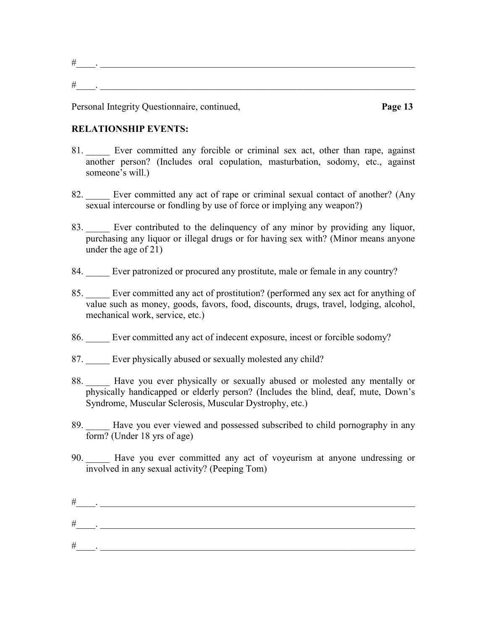#### **RELATIONSHIP EVENTS:**

- 81. Ever committed any forcible or criminal sex act, other than rape, against another person? (Includes oral copulation, masturbation, sodomy, etc., against someone's will.)
- 82. Ever committed any act of rape or criminal sexual contact of another? (Any sexual intercourse or fondling by use of force or implying any weapon?)
- 83. Ever contributed to the delinquency of any minor by providing any liquor, purchasing any liquor or illegal drugs or for having sex with? (Minor means anyone under the age of 21)
- 84. Ever patronized or procured any prostitute, male or female in any country?
- 85. \_\_\_\_\_ Ever committed any act of prostitution? (performed any sex act for anything of value such as money, goods, favors, food, discounts, drugs, travel, lodging, alcohol, mechanical work, service, etc.)
- 86. Ever committed any act of indecent exposure, incest or forcible sodomy?
- 87. Ever physically abused or sexually molested any child?
- 88. Have you ever physically or sexually abused or molested any mentally or physically handicapped or elderly person? (Includes the blind, deaf, mute, Down's Syndrome, Muscular Sclerosis, Muscular Dystrophy, etc.)
- 89. Have you ever viewed and possessed subscribed to child pornography in any form? (Under 18 yrs of age)
- 90. \_\_\_\_\_ Have you ever committed any act of voyeurism at anyone undressing or involved in any sexual activity? (Peeping Tom)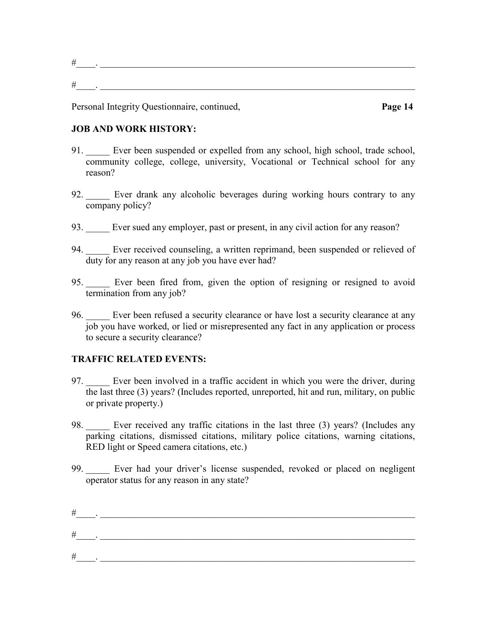#### **JOB AND WORK HISTORY:**

- 91. Ever been suspended or expelled from any school, high school, trade school, community college, college, university, Vocational or Technical school for any reason?
- 92. Ever drank any alcoholic beverages during working hours contrary to any company policy?
- 93. Ever sued any employer, past or present, in any civil action for any reason?
- 94. Ever received counseling, a written reprimand, been suspended or relieved of duty for any reason at any job you have ever had?
- 95. \_\_\_\_\_ Ever been fired from, given the option of resigning or resigned to avoid termination from any job?
- 96. Ever been refused a security clearance or have lost a security clearance at any job you have worked, or lied or misrepresented any fact in any application or process to secure a security clearance?

### **TRAFFIC RELATED EVENTS:**

- 97. Ever been involved in a traffic accident in which you were the driver, during the last three (3) years? (Includes reported, unreported, hit and run, military, on public or private property.)
- 98. Ever received any traffic citations in the last three (3) years? (Includes any parking citations, dismissed citations, military police citations, warning citations, RED light or Speed camera citations, etc.)
- 99. \_\_\_\_\_ Ever had your driver's license suspended, revoked or placed on negligent operator status for any reason in any state?

| ┯<br>π |  |
|--------|--|
| Ŧ      |  |
|        |  |
| 77     |  |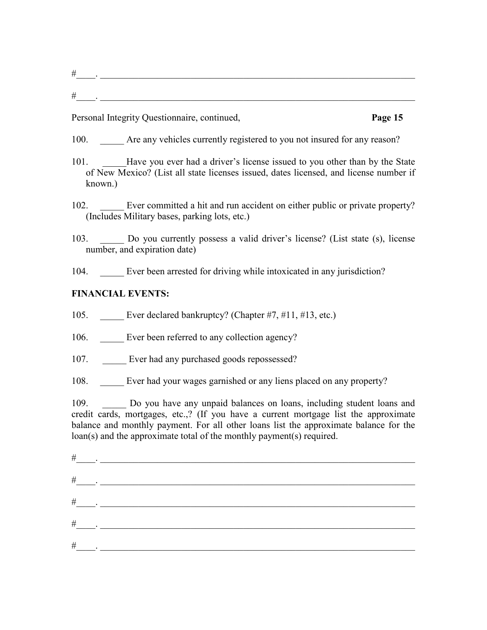- 100. Are any vehicles currently registered to you not insured for any reason?
- 101. Have you ever had a driver's license issued to you other than by the State of New Mexico? (List all state licenses issued, dates licensed, and license number if known.)
- 102. Ever committed a hit and run accident on either public or private property? (Includes Military bases, parking lots, etc.)
- 103. \_\_\_\_\_ Do you currently possess a valid driver's license? (List state (s), license number, and expiration date)
- 104. Ever been arrested for driving while intoxicated in any jurisdiction?

# **FINANCIAL EVENTS:**

- 105. Ever declared bankruptcy? (Chapter #7, #11, #13, etc.)
- 106. Ever been referred to any collection agency?
- 107. Ever had any purchased goods repossessed?
- 108. Ever had your wages garnished or any liens placed on any property?

109. Do you have any unpaid balances on loans, including student loans and credit cards, mortgages, etc.,? (If you have a current mortgage list the approximate balance and monthly payment. For all other loans list the approximate balance for the loan(s) and the approximate total of the monthly payment(s) required.

| $\#$<br>$\sim 100$ km s $^{-1}$ |                          |
|---------------------------------|--------------------------|
| $\#$                            | <b>Contract Contract</b> |
| $\#$                            |                          |
| $\#$                            |                          |
| $\#$                            |                          |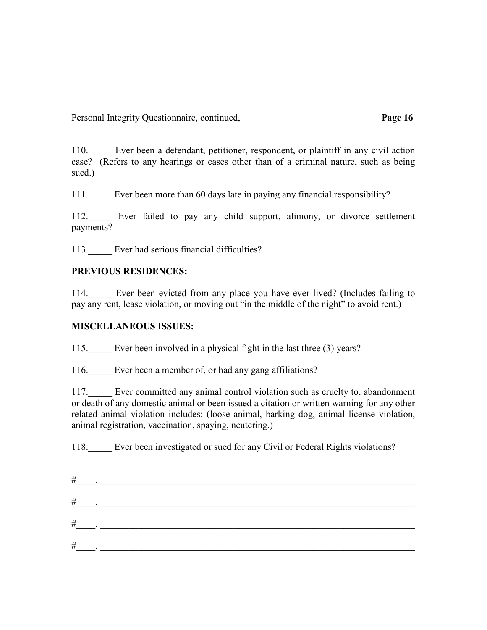110. Ever been a defendant, petitioner, respondent, or plaintiff in any civil action case? (Refers to any hearings or cases other than of a criminal nature, such as being sued.)

111.\_\_\_\_\_ Ever been more than 60 days late in paying any financial responsibility?

112. Ever failed to pay any child support, alimony, or divorce settlement payments?

113. Ever had serious financial difficulties?

## **PREVIOUS RESIDENCES:**

114. Ever been evicted from any place you have ever lived? (Includes failing to pay any rent, lease violation, or moving out "in the middle of the night" to avoid rent.)

### **MISCELLANEOUS ISSUES:**

115. Ever been involved in a physical fight in the last three (3) years?

116. Ever been a member of, or had any gang affiliations?

117. Ever committed any animal control violation such as cruelty to, abandonment or death of any domestic animal or been issued a citation or written warning for any other related animal violation includes: (loose animal, barking dog, animal license violation, animal registration, vaccination, spaying, neutering.)

118. Ever been investigated or sued for any Civil or Federal Rights violations?

| #                                                         |  |
|-----------------------------------------------------------|--|
| $\#$<br>$\overline{\phantom{a}}$ $\overline{\phantom{a}}$ |  |
| #<br><b>Contract Contract</b>                             |  |
| $\#$                                                      |  |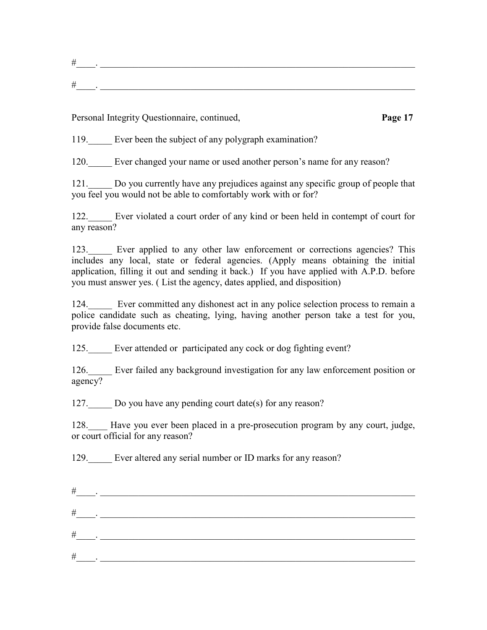119. Ever been the subject of any polygraph examination?

120. Ever changed your name or used another person's name for any reason?

121. Do you currently have any prejudices against any specific group of people that you feel you would not be able to comfortably work with or for?

122. Ever violated a court order of any kind or been held in contempt of court for any reason?

123. Ever applied to any other law enforcement or corrections agencies? This includes any local, state or federal agencies. (Apply means obtaining the initial application, filling it out and sending it back.) If you have applied with A.P.D. before you must answer yes. ( List the agency, dates applied, and disposition)

124. Ever committed any dishonest act in any police selection process to remain a police candidate such as cheating, lying, having another person take a test for you, provide false documents etc.

125. Ever attended or participated any cock or dog fighting event?

126. Ever failed any background investigation for any law enforcement position or agency?

127. Do you have any pending court date(s) for any reason?

128. Have you ever been placed in a pre-prosecution program by any court, judge, or court official for any reason?

129. Ever altered any serial number or ID marks for any reason?

| $\#$ |  |
|------|--|
| $\#$ |  |
| $\#$ |  |
| $\#$ |  |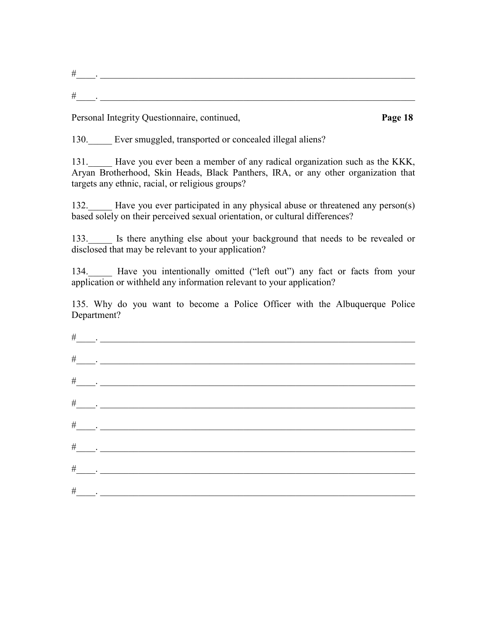| -<br>- |  |  |
|--------|--|--|
|        |  |  |
| ╼      |  |  |

130. Ever smuggled, transported or concealed illegal aliens?

131. Have you ever been a member of any radical organization such as the KKK, Aryan Brotherhood, Skin Heads, Black Panthers, IRA, or any other organization that targets any ethnic, racial, or religious groups?

132. Have you ever participated in any physical abuse or threatened any person(s) based solely on their perceived sexual orientation, or cultural differences?

133. Is there anything else about your background that needs to be revealed or disclosed that may be relevant to your application?

134. Have you intentionally omitted ("left out") any fact or facts from your application or withheld any information relevant to your application?

135. Why do you want to become a Police Officer with the Albuquerque Police Department?

| $\frac{\#$ |  |
|------------|--|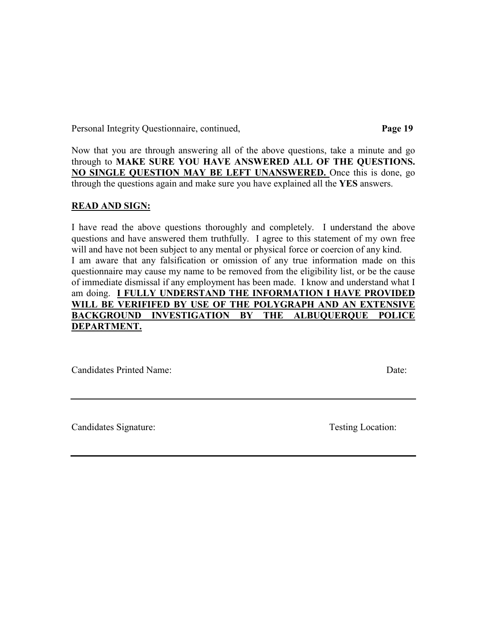Now that you are through answering all of the above questions, take a minute and go through to **MAKE SURE YOU HAVE ANSWERED ALL OF THE QUESTIONS. NO SINGLE QUESTION MAY BE LEFT UNANSWERED.** Once this is done, go through the questions again and make sure you have explained all the **YES** answers.

#### **READ AND SIGN:**

I have read the above questions thoroughly and completely. I understand the above questions and have answered them truthfully. I agree to this statement of my own free will and have not been subject to any mental or physical force or coercion of any kind. I am aware that any falsification or omission of any true information made on this questionnaire may cause my name to be removed from the eligibility list, or be the cause of immediate dismissal if any employment has been made. I know and understand what I am doing. **I FULLY UNDERSTAND THE INFORMATION I HAVE PROVIDED WILL BE VERIFIFED BY USE OF THE POLYGRAPH AND AN EXTENSIVE BACKGROUND INVESTIGATION BY THE ALBUQUERQUE POLICE DEPARTMENT.**

Candidates Printed Name: Date:

Candidates Signature: Testing Location: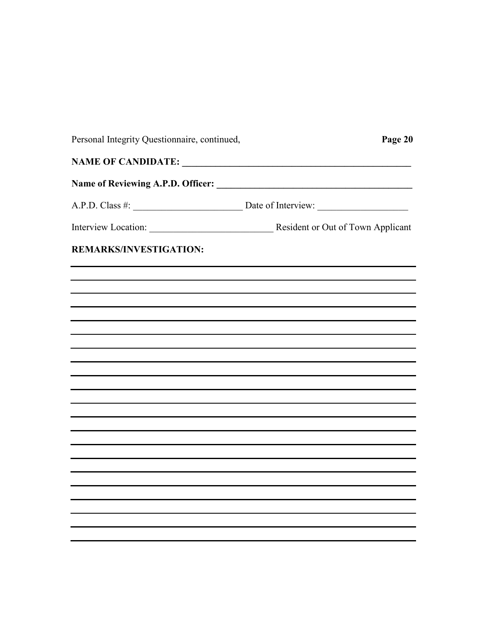| Personal Integrity Questionnaire, continued, | Page 20 |  |  |  |  |  |
|----------------------------------------------|---------|--|--|--|--|--|
| NAME OF CANDIDATE:                           |         |  |  |  |  |  |
|                                              |         |  |  |  |  |  |
|                                              |         |  |  |  |  |  |
|                                              |         |  |  |  |  |  |
| <b>REMARKS/INVESTIGATION:</b>                |         |  |  |  |  |  |
|                                              |         |  |  |  |  |  |
|                                              |         |  |  |  |  |  |
|                                              |         |  |  |  |  |  |
|                                              |         |  |  |  |  |  |
|                                              |         |  |  |  |  |  |
|                                              |         |  |  |  |  |  |
|                                              |         |  |  |  |  |  |
|                                              |         |  |  |  |  |  |
|                                              |         |  |  |  |  |  |
|                                              |         |  |  |  |  |  |
|                                              |         |  |  |  |  |  |
|                                              |         |  |  |  |  |  |
|                                              |         |  |  |  |  |  |
|                                              |         |  |  |  |  |  |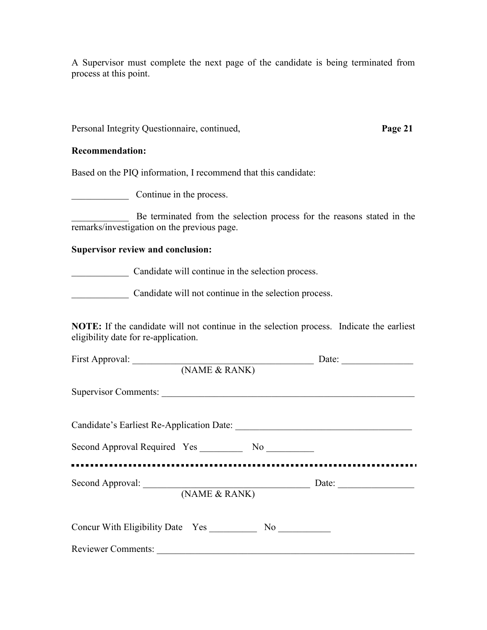A Supervisor must complete the next page of the candidate is being terminated from process at this point.

Personal Integrity Questionnaire, continued, **Page 21**

#### **Recommendation:**

Based on the PIQ information, I recommend that this candidate:

\_\_\_\_\_\_\_\_\_\_\_\_ Continue in the process.

Be terminated from the selection process for the reasons stated in the remarks/investigation on the previous page.

#### **Supervisor review and conclusion:**

\_\_\_\_\_\_\_\_\_\_\_\_ Candidate will continue in the selection process.

Candidate will not continue in the selection process.

**NOTE:** If the candidate will not continue in the selection process. Indicate the earliest eligibility date for re-application.

| First Approval:      |               |  |
|----------------------|---------------|--|
|                      | (NAME & RANK) |  |
| Supervisor Comments: |               |  |
|                      |               |  |
|                      |               |  |
|                      | (NAME & RANK) |  |
|                      |               |  |
| Reviewer Comments:   |               |  |